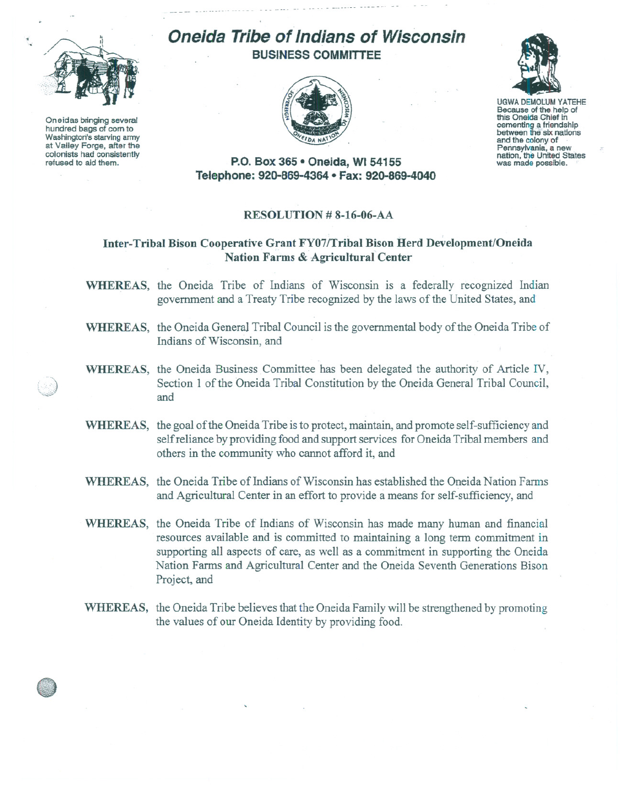

Oneidas bringing several hundred bags of corn to Washington's starving army at Valley Forge, after the colonists had consistently refused to aid them.

## **Oneida Tribe of Indians of Wisconsin BUSINESS COMMITTEE**





UGWA DEMOLUM YATEHE Because of the help of this Oneida Chief in<br>cementing a friendship between the six nations and the colony. of Pennsylvania, <sup>a</sup> new nation, the United States was made possible.

**P.O. Box 365· Oneida,** WI 54155 **Telephone: 920-869-4364 • Fax: 920-869-4040**

## **RESOLUTION # 8-16-06-AA**

## **Inter- Tribal Bison Cooperative Grant FY07/Tribal Bison Herd Development/Oneida Nation Farms & Agricultural Center**

**WHEREAS,** the Oneida Tribe of Indians of Wisconsin is a federally recognized Indian government and a Treaty Tribe recognized by the laws of the United States, and

- **WHEREAS,** the Oneida General Tribal Council is the governmental body of the Oneida Tribe of Indians of Wisconsin, and
- **WHEREAS,** the Oneida Business Committee has been delegated the authority of Article IV, Section 1 of the Oneida Tribal Constitution by the Oneida General Tribal Council, and
- **WHEREAS,** the goal of the Oneida Tribe is to protect, maintain, and promote self-sufficiency and self reliance by providing food and support services for Oneida Tribal members and others in the community who cannot afford it, and
- **WHEREAS,** the Oneida Tribe of Indians of Wisconsin has established the Oneida Nation Farms and Agricultural Center in an effort to provide a means for self-sufficiency, and
- **WHEREAS,** the Oneida Tribe of Indians of Wisconsin has made many human and financial resources available and is committed to maintaining a long term commitment in supporting all aspects of care, as well as a commitment in supporting the Oneida Nation Farms and Agricultural Center and the Oneida Seventh Generations Bison Project, and
- **WHEREAS,** the Oneida Tribe believes that the Oneida Family will be strengthened by promoting the values of our Oneida Identity by providing food.